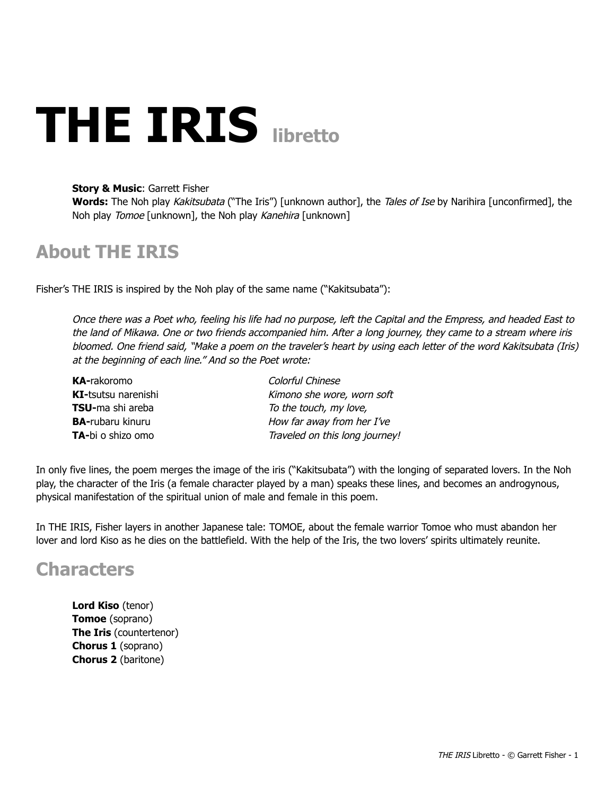# **THE IRIS libretto**

#### **Story & Music: Garrett Fisher**

**Words:** The Noh play Kakitsubata ("The Iris") [unknown author], the Tales of Ise by Narihira [unconfirmed], the Noh play Tomoe [unknown], the Noh play Kanehira [unknown]

## **About THE IRIS**

Fisher's THE IRIS is inspired by the Noh play of the same name ("Kakitsubata"):

Once there was a Poet who, feeling his life had no purpose, left the Capital and the Empress, and headed East to the land of Mikawa. One or two friends accompanied him. After a long journey, they came to a stream where iris bloomed. One friend said, "Make a poem on the traveler's heart by using each letter of the word Kakitsubata (Iris) at the beginning of each line." And so the Poet wrote:

| <b>KA-rakoromo</b>         | Colorful Chinese               |
|----------------------------|--------------------------------|
| <b>KI-tsutsu narenishi</b> | Kimono she wore, worn soft     |
| <b>TSU-</b> ma shi areba   | To the touch, my love,         |
| <b>BA-rubaru kinuru</b>    | How far away from her I've     |
| TA-bi o shizo omo          | Traveled on this long journey! |

In only five lines, the poem merges the image of the iris ("Kakitsubata") with the longing of separated lovers. In the Noh play, the character of the Iris (a female character played by a man) speaks these lines, and becomes an androgynous, physical manifestation of the spiritual union of male and female in this poem.

In THE IRIS, Fisher layers in another Japanese tale: TOMOE, about the female warrior Tomoe who must abandon her lover and lord Kiso as he dies on the battlefield. With the help of the Iris, the two lovers' spirits ultimately reunite.

## **Characters**

**Lord Kiso** (tenor) **Tomoe** (soprano) **The Iris (countertenor) Chorus 1** (soprano) **Chorus 2** (baritone)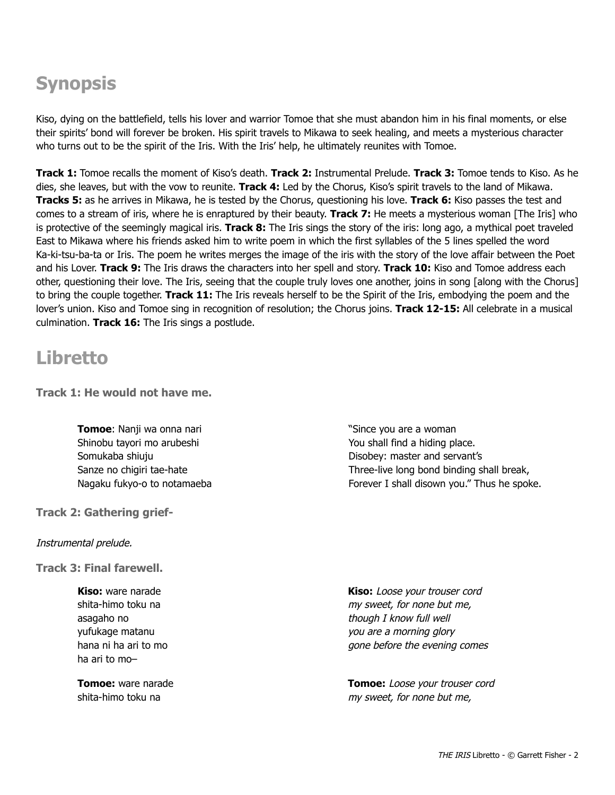## **Synopsis**

Kiso, dying on the battlefield, tells his lover and warrior Tomoe that she must abandon him in his final moments, or else their spirits' bond will forever be broken. His spirit travels to Mikawa to seek healing, and meets a mysterious character who turns out to be the spirit of the Iris. With the Iris' help, he ultimately reunites with Tomoe.

**Track 1:** Tomoe recalls the moment of Kiso's death. **Track 2:** Instrumental Prelude. **Track 3:** Tomoe tends to Kiso. As he dies, she leaves, but with the vow to reunite. **Track 4:** Led by the Chorus, Kiso's spirit travels to the land of Mikawa. **Tracks 5:** as he arrives in Mikawa, he is tested by the Chorus, questioning his love. **Track 6:** Kiso passes the test and comes to a stream of iris, where he is enraptured by their beauty. **Track 7:** He meets a mysterious woman [The Iris] who is protective of the seemingly magical iris. **Track 8:** The Iris sings the story of the iris: long ago, a mythical poet traveled East to Mikawa where his friends asked him to write poem in which the first syllables of the 5 lines spelled the word Ka-ki-tsu-ba-ta or Iris. The poem he writes merges the image of the iris with the story of the love affair between the Poet and his Lover. **Track 9:** The Iris draws the characters into her spell and story. **Track 10:** Kiso and Tomoe address each other, questioning their love. The Iris, seeing that the couple truly loves one another, joins in song [along with the Chorus] to bring the couple together. **Track 11:** The Iris reveals herself to be the Spirit of the Iris, embodying the poem and the lover's union. Kiso and Tomoe sing in recognition of resolution; the Chorus joins. Track 12-15: All celebrate in a musical culmination. **Track 16:** The Iris sings a postlude.

## **Libretto**

**Track 1: He would not have me.**

**Tomoe**: Nanji wa onna nari Shinobu tayori mo arubeshi Somukaba shiuju Sanze no chigiri tae-hate Nagaku fukyo-o to notamaeba

**Track 2: Gathering grief-**

Instrumental prelude.

**Track 3: Final farewell.**

**Kiso:** ware narade shita-himo toku na asagaho no yufukage matanu hana ni ha ari to mo ha ari to mo–

**Tomoe:** ware narade shita-himo toku na

"Since you are a woman You shall find a hiding place. Disobey: master and servant's Three-live long bond binding shall break, Forever I shall disown you." Thus he spoke.

**Kiso:** Loose your trouser cord my sweet, for none but me, though I know full well you are a morning glory gone before the evening comes

**Tomoe:** Loose your trouser cord my sweet, for none but me,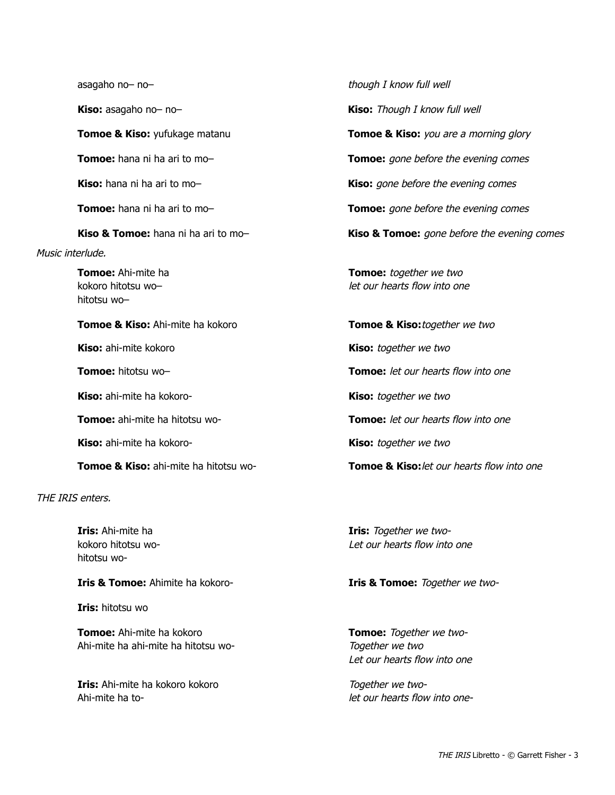Music interlude.

**Tomoe:** Ahi-mite ha kokoro hitotsu wo– hitotsu wo–

**Tomoe & Kiso:** Ahi-mite ha kokoro **Tomoe & Kiso:**together we two

**Kiso:** ahi-mite ha kokoro-<br> **Kiso:** together we two

**Kiso:** ahi-mite ha kokoro-<br>**Kiso:** together we two

**Tomoe & Kiso:** ahi-mite ha hitotsu wo-<br>**Tomoe & Kiso:** *let our hearts flow into one* 

THE IRIS enters.

**Iris:** Ahi-mite ha kokoro hitotsu wohitotsu wo-

**Iris & Tomoe:** Ahimite ha kokoro **Integrational Iris & Tomoe:** Together we two-

**Iris:** hitotsu wo

**Tomoe:** Ahi-mite ha kokoro Ahi-mite ha ahi-mite ha hitotsu wo-

**Iris:** Ahi-mite ha kokoro kokoro Ahi-mite ha to-

asagaho no– no– though I know full well **Kiso:** asagaho no– no– **Kiso:** Though I know full well **Tomoe & Kiso:** yufukage matanu **Tomoe & Kiso:** *you are a morning glory* **Tomoe:** hana ni ha ari to mo– **Tomoe: Tomoe:** gone before the evening comes **Kiso:** hana ni ha ari to mo-<br>**Kiso:** gone before the evening comes **Tomoe:** hana ni ha ari to mo-<br>**Tomoe:** gone before the evening comes **Kiso & Tomoe:** hana ni ha ari to mo-<br>**Kiso & Tomoe:** gone before the evening comes **Tomoe:** together we two let our hearts flow into one

**Kiso:** ahi-mite kokoro **Kiso: Kiso:** together we two **Tomoe:** hitotsu wo– **Tomoe:** let our hearts flow into one **Tomoe:** ahi-mite ha hitotsu wo-<br>**Tomoe:** let our hearts flow into one

> **Iris:** Together we two-Let our hearts flow into one

**Tomoe:** Together we two-Together we two Let our hearts flow into one

Together we twolet our hearts flow into one-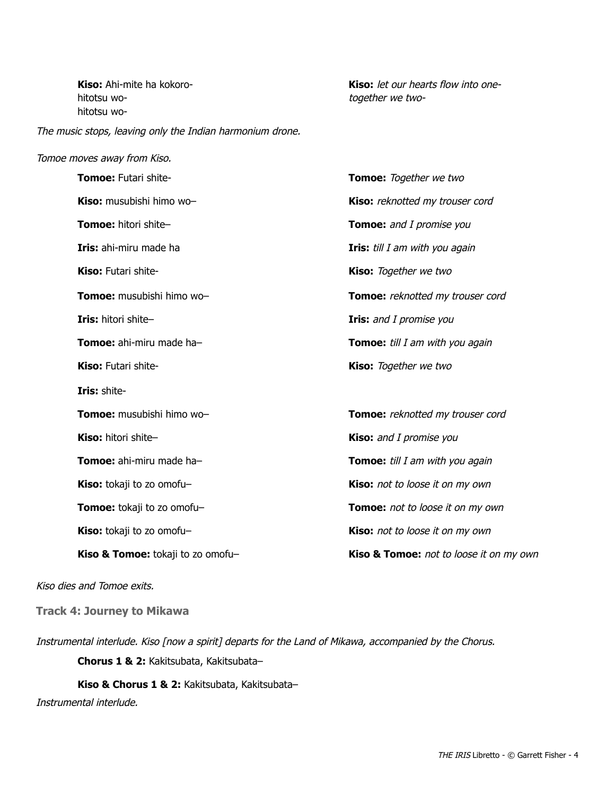**Kiso:** Ahi-mite ha kokorohitotsu wohitotsu wo-

The music stops, leaving only the Indian harmonium drone.

#### Tomoe moves away from Kiso.

**Kiso:** let our hearts flow into onetogether we two-

| Tomoe: Futari shite-              | Tomoe: Together we two                  |
|-----------------------------------|-----------------------------------------|
| Kiso: musubishi himo wo-          | Kiso: reknotted my trouser cord         |
| <b>Tomoe:</b> hitori shite-       | <b>Tomoe:</b> and I promise you         |
| <b>Iris:</b> ahi-miru made ha     | <b>Iris:</b> till I am with you again   |
| <b>Kiso:</b> Futari shite-        | <b>Kiso:</b> Together we two            |
| Tomoe: musubishi himo wo-         | Tomoe: reknotted my trouser cord        |
| Iris: hitori shite-               | <b>Iris:</b> and I promise you          |
| <b>Tomoe:</b> ahi-miru made ha-   | <b>Tomoe:</b> till I am with you again  |
| Kiso: Futari shite-               | Kiso: Together we two                   |
| Iris: shite-                      |                                         |
| Tomoe: musubishi himo wo-         | Tomoe: reknotted my trouser cord        |
| Kiso: hitori shite-               | Kiso: and I promise you                 |
| Tomoe: ahi-miru made ha-          | Tomoe: till I am with you again         |
| Kiso: tokaji to zo omofu-         | Kiso: not to loose it on my own         |
| Tomoe: tokaji to zo omofu-        | Tomoe: not to loose it on my own        |
| Kiso: tokaji to zo omofu-         | Kiso: not to loose it on my own         |
| Kiso & Tomoe: tokaji to zo omofu- | Kiso & Tomoe: not to loose it on my own |

#### Kiso dies and Tomoe exits.

**Track 4: Journey to Mikawa**

Instrumental interlude. Kiso [now a spirit] departs for the Land of Mikawa, accompanied by the Chorus.

**Chorus 1 & 2:** Kakitsubata, Kakitsubata–

**Kiso & Chorus 1 & 2:** Kakitsubata, Kakitsubata–

Instrumental interlude.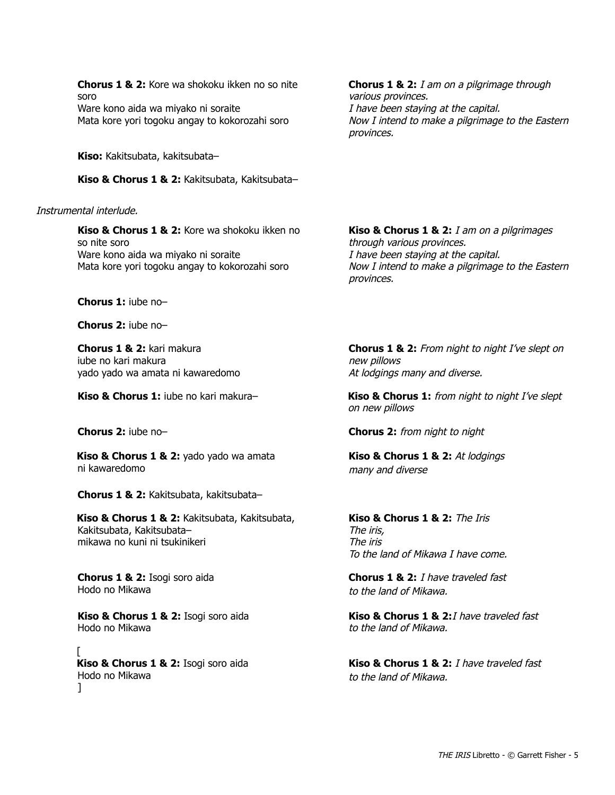**Chorus 1 & 2:** Kore wa shokoku ikken no so nite soro Ware kono aida wa miyako ni soraite Mata kore yori togoku angay to kokorozahi soro

**Kiso:** Kakitsubata, kakitsubata–

Kiso & Chorus 1 & 2: Kakitsubata, Kakitsubata-

#### Instrumental interlude.

**Kiso & Chorus 1 & 2:** Kore wa shokoku ikken no so nite soro Ware kono aida wa miyako ni soraite Mata kore yori togoku angay to kokorozahi soro

**Chorus 1:** iube no–

**Chorus 2:** iube no–

**Chorus 1 & 2: kari makura** iube no kari makura yado yado wa amata ni kawaredomo

**Kiso & Chorus 1 & 2:** yado yado wa amata ni kawaredomo

**Chorus 1 & 2:** Kakitsubata, kakitsubata–

Kiso & Chorus 1 & 2: Kakitsubata, Kakitsubata, Kakitsubata, Kakitsubata– mikawa no kuni ni tsukinikeri

**Chorus 1 & 2:** Isogi soro aida Hodo no Mikawa

Kiso & Chorus 1 & 2: Isogi soro aida Hodo no Mikawa

[ Kiso & Chorus 1 & 2: Isogi soro aida Hodo no Mikawa ]

**Chorus 1 & 2:** I am on a pilgrimage through various provinces. I have been staying at the capital. Now I intend to make a pilgrimage to the Eastern provinces.

**Kiso & Chorus 1 & 2:** *I am on a pilgrimages* through various provinces. I have been staying at the capital. Now I intend to make a pilgrimage to the Eastern provinces.

**Chorus 1 & 2:** From night to night I've slept on new pillows At lodgings many and diverse.

**Kiso & Chorus 1:** iube no kari makura– **Kiso & Chorus 1:** from night to night I've slept on new pillows

**Chorus 2:** iube no– **Chorus 2:** from night to night

**Kiso & Chorus 1 & 2: At lodgings** many and diverse

**Kiso & Chorus 1 & 2:** The Iris The iris, The iris To the land of Mikawa I have come.

**Chorus 1 & 2:** I have traveled fast to the land of Mikawa.

**Kiso & Chorus 1 & 2:**I have traveled fast to the land of Mikawa.

**Kiso & Chorus 1 & 2:** *I have traveled fast* to the land of Mikawa.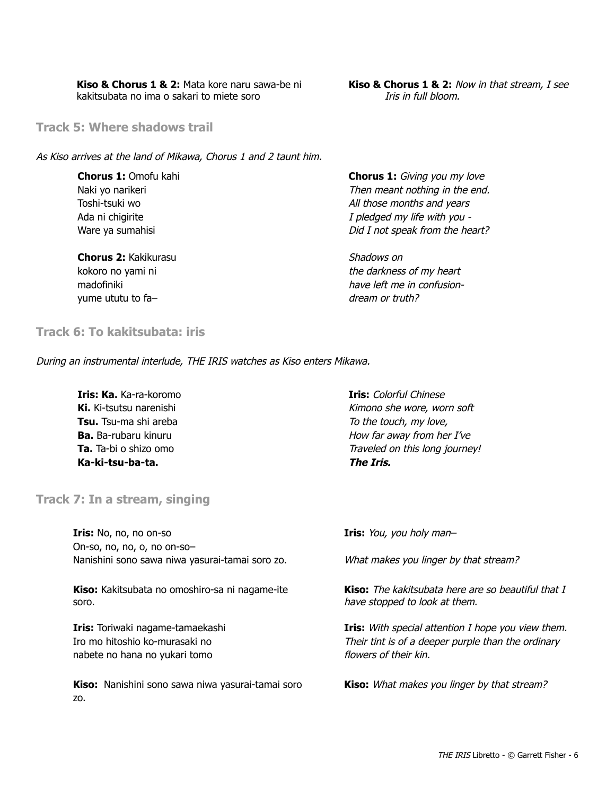**Kiso & Chorus 1 & 2: Mata kore naru sawa-be ni** kakitsubata no ima o sakari to miete soro

**Kiso & Chorus 1 & 2:** Now in that stream, I see Iris in full bloom.

**Track 5: Where shadows trail**

As Kiso arrives at the land of Mikawa, Chorus 1 and 2 taunt him.

**Chorus 1: Omofu kahi** Naki yo narikeri Toshi-tsuki wo Ada ni chigirite Ware ya sumahisi

**Chorus 2:** Kakikurasu kokoro no yami ni madofiniki yume ututu to fa–

**Chorus 1:** Giving you my love Then meant nothing in the end. All those months and years I pledged my life with you Did I not speak from the heart?

Shadows on the darkness of my heart have left me in confusiondream or truth?

**Track 6: To kakitsubata: iris**

During an instrumental interlude, THE IRIS watches as Kiso enters Mikawa.

**Iris: Ka.** Ka-ra-koromo **Ki.** Ki-tsutsu narenishi **Tsu.** Tsu-ma shi areba **Ba.** Ba-rubaru kinuru **Ta.** Ta-bi o shizo omo Ka-ki-tsu-ba-ta.

**Track 7: In a stream, singing**

**Iris:** No, no, no on-so On-so, no, no, o, no on-so-Nanishini sono sawa niwa yasurai-tamai soro zo.

Kiso: Kakitsubata no omoshiro-sa ni nagame-ite soro.

**Iris:** Toriwaki nagame-tamaekashi Iro mo hitoshio ko-murasaki no nabete no hana no yukari tomo

Kiso: Nanishini sono sawa niwa yasurai-tamai soro zo.

**Iris:** Colorful Chinese Kimono she wore, worn soft To the touch, my love, How far away from her I've Traveled on this long journey! **The Iris.**

**Iris:** You, you holy man-

What makes you linger by that stream?

**Kiso:** The kakitsubata here are so beautiful that I have stopped to look at them.

**Iris:** With special attention I hope you view them. Their tint is of a deeper purple than the ordinary flowers of their kin.

**Kiso:** What makes you linger by that stream?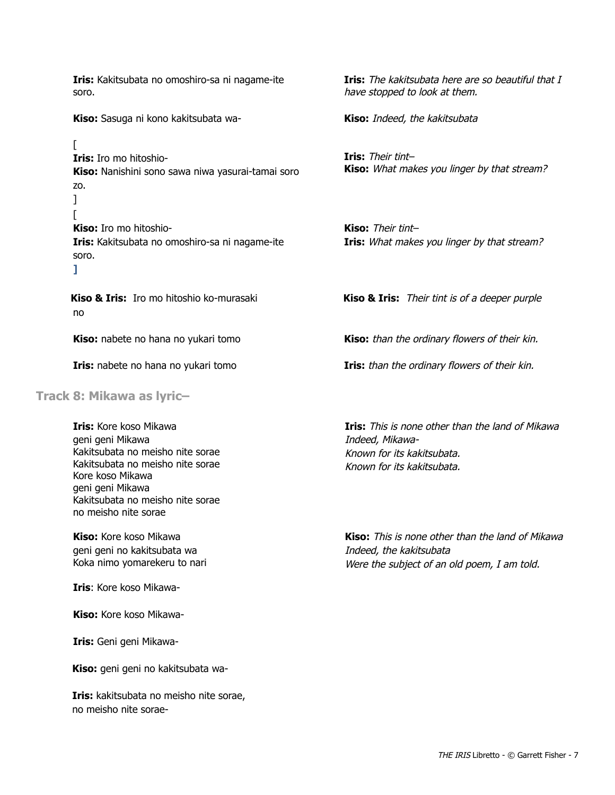**Iris:** Kakitsubata no omoshiro-sa ni nagame-ite soro.

**Kiso:** Sasuga ni kono kakitsubata wa **Kiso:** Indeed, the kakitsubata

[ **Iris:** Iro mo hitoshio-**Kiso:** Nanishini sono sawa niwa yasurai-tamai soro zo. ] [ **Kiso:** Iro mo hitoshio-

Iris: Kakitsubata no omoshiro-sa ni nagame-ite soro. **]**

no

#### **Track 8: Mikawa as lyric–**

**Iris:** Kore koso Mikawa geni geni Mikawa Kakitsubata no meisho nite sorae Kakitsubata no meisho nite sorae Kore koso Mikawa geni geni Mikawa Kakitsubata no meisho nite sorae no meisho nite sorae

**Kiso:** Kore koso Mikawa geni geni no kakitsubata wa Koka nimo yomarekeru to nari

**Iris**: Kore koso Mikawa-

**Kiso:** Kore koso Mikawa-

**Iris:** Geni geni Mikawa-

**Kiso:** geni geni no kakitsubata wa-

**Iris:** kakitsubata no meisho nite sorae, no meisho nite sorae**Iris:** The kakitsubata here are so beautiful that I have stopped to look at them.

**Iris:** Their tint– **Kiso:** What makes you linger by that stream?

**Kiso:** Their tint– **Iris:** What makes you linger by that stream?

**Kiso & Iris:** Iro mo hitoshio ko-murasaki **Kiso & Iris:** Their tint is of a deeper purple

**Kiso:** nabete no hana no yukari tomo **Kiso:** than the ordinary flowers of their kin.

**Iris:** nabete no hana no yukari tomo **IFIS:** than the ordinary flowers of their kin.

**Iris:** This is none other than the land of Mikawa Indeed, Mikawa-Known for its kakitsubata. Known for its kakitsubata.

**Kiso:** This is none other than the land of Mikawa Indeed, the kakitsubata Were the subject of an old poem, I am told.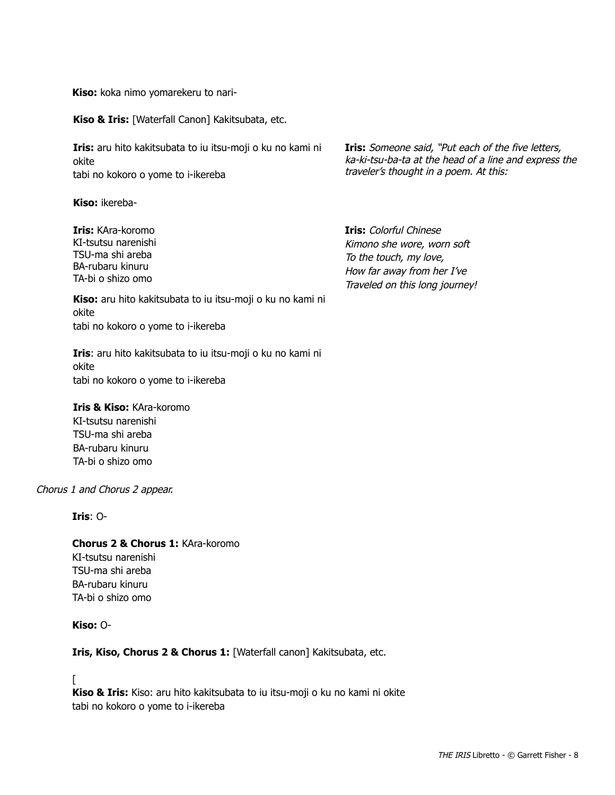**Kiso:** koka nimo yomarekeru to nari-

**Kiso & Iris:** [Waterfall Canon] Kakitsubata, etc.

**Iris:** aru hito kakitsubata to iu itsu-moji o ku no kami ni okite tabi no kokoro o yome to i-ikereba

**Kiso:** ikereba-

**Iris: KAra-koromo** KI-tsutsu narenishi TSU-ma shi areba BA-rubaru kinuru TA-bi o shizo omo

**Iris:** Someone said, "Put each of the five letters, ka-ki-tsu-ba-ta at the head of a line and express the traveler's thought in a poem. At this:

**Iris:** Colorful Chinese Kimono she wore, worn soft To the touch, my love, How far away from her I've Traveled on this long journey!

**Kiso:** aru hito kakitsubata to iu itsu-moji o ku no kami ni okite tabi no kokoro o yome to i-ikereba

Iris: aru hito kakitsubata to iu itsu-moji o ku no kami ni okite tabi no kokoro o yome to i-ikereba

**Iris & Kiso: KAra-koromo** KI-tsutsu narenishi

TSU-ma shi areba BA-rubaru kinuru TA-bi o shizo omo

Chorus 1 and Chorus 2 appear.

**Iris**: O-

**Chorus 2 & Chorus 1: KAra-koromo** KI-tsutsu narenishi

TSU-ma shi areba BA-rubaru kinuru TA-bi o shizo omo

#### **Kiso:** O-

**Iris, Kiso, Chorus 2 & Chorus 1:** [Waterfall canon] Kakitsubata, etc.

 $\lceil$ 

Kiso & Iris: Kiso: aru hito kakitsubata to iu itsu-moji o ku no kami ni okite tabi no kokoro o yome to i-ikereba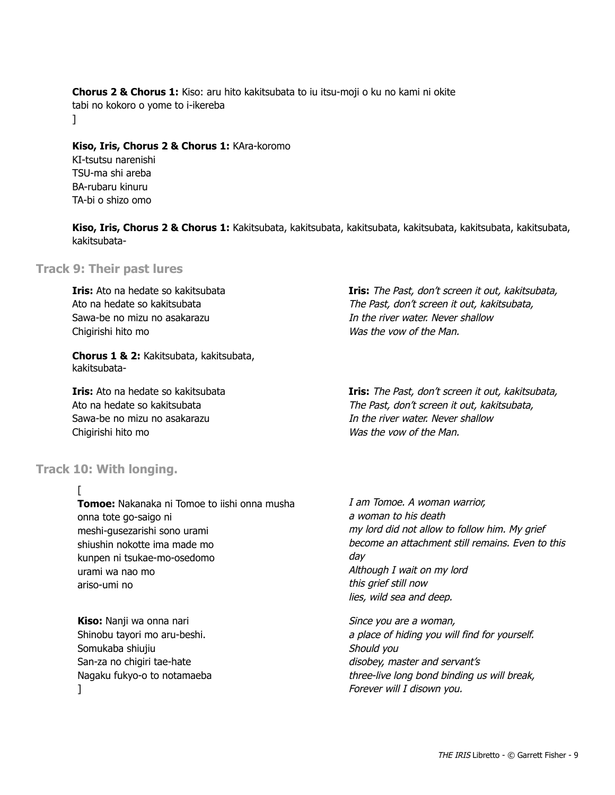**Chorus 2 & Chorus 1:** Kiso: aru hito kakitsubata to iu itsu-moji o ku no kami ni okite tabi no kokoro o yome to i-ikereba  $\mathbf{I}$ 

Kiso, Iris, Chorus 2 & Chorus 1: KAra-koromo

KI-tsutsu narenishi TSU-ma shi areba BA-rubaru kinuru TA-bi o shizo omo

**Kiso, Iris, Chorus 2 & Chorus 1:** Kakitsubata, kakitsubata, kakitsubata, kakitsubata, kakitsubata, kakitsubata, kakitsubata-

#### **Track 9: Their past lures**

**Iris:** Ato na hedate so kakitsubata Ato na hedate so kakitsubata Sawa-be no mizu no asakarazu Chigirishi hito mo

**Chorus 1 & 2:** Kakitsubata, kakitsubata, kakitsubata-

**Iris:** Ato na hedate so kakitsubata Ato na hedate so kakitsubata Sawa-be no mizu no asakarazu Chigirishi hito mo

**Track 10: With longing.**

#### [

**Tomoe:** Nakanaka ni Tomoe to iishi onna musha onna tote go-saigo ni meshi-qusezarishi sono urami shiushin nokotte ima made mo kunpen ni tsukae-mo-osedomo urami wa nao mo ariso-umi no

**Kiso: Nanji wa onna nari** Shinobu tayori mo aru-beshi. Somukaba shiujiu San-za no chigiri tae-hate Nagaku fukyo-o to notamaeba ]

**Iris:** The Past, don't screen it out, kakitsubata, The Past, don't screen it out, kakitsubata, In the river water. Never shallow Was the vow of the Man.

**Iris:** The Past, don't screen it out, kakitsubata, The Past, don't screen it out, kakitsubata, In the river water. Never shallow Was the vow of the Man.

I am Tomoe. A woman warrior, a woman to his death my lord did not allow to follow him. My grief become an attachment still remains. Even to this day Although I wait on my lord this grief still now lies, wild sea and deep.

Since you are a woman, a place of hiding you will find for yourself. Should you disobey, master and servant's three-live long bond binding us will break, Forever will I disown you.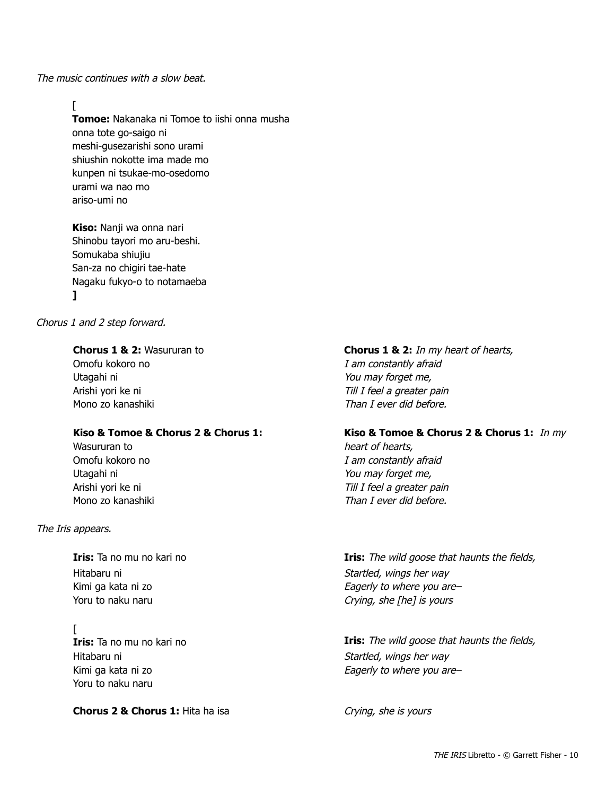The music continues with a slow beat.

#### $\Gamma$

**Tomoe:** Nakanaka ni Tomoe to iishi onna musha onna tote go-saigo ni meshi-qusezarishi sono urami shiushin nokotte ima made mo kunpen ni tsukae-mo-osedomo urami wa nao mo ariso-umi no

**Kiso:** Nanji wa onna nari Shinobu tayori mo aru-beshi. Somukaba shiujiu San-za no chigiri tae-hate Nagaku fukyo-o to notamaeba **]**

Chorus 1 and 2 step forward.

#### **Chorus 1 & 2: Wasururan to**

Omofu kokoro no Utagahi ni Arishi yori ke ni Mono zo kanashiki

#### **Kiso & Tomoe & Chorus 2 & Chorus 1:**

Wasururan to Omofu kokoro no Utagahi ni Arishi yori ke ni Mono zo kanashiki

#### The Iris appears.

Hitabaru ni Kimi ga kata ni zo Yoru to naku naru

 $\Gamma$ Hitabaru ni Kimi ga kata ni zo Yoru to naku naru

#### **Chorus 2 & Chorus 1: Hita ha isa**

**Chorus 1 & 2:** In my heart of hearts, I am constantly afraid You may forget me, Till I feel a greater pain Than I ever did before.

#### Kiso & Tomoe & Chorus 2 & Chorus 1: *In my*

heart of hearts, I am constantly afraid You may forget me, Till I feel a greater pain Than I ever did before.

**Iris:** Ta no mu no kari no **IFIS:** The wild goose that haunts the fields, Startled, wings her way Eagerly to where you are– Crying, she [he] is yours

**Iris:** The wild goose that haunts the fields, **Iris:** The wild goose that haunts the fields, Startled, wings her way Eagerly to where you are–

Crying, she is yours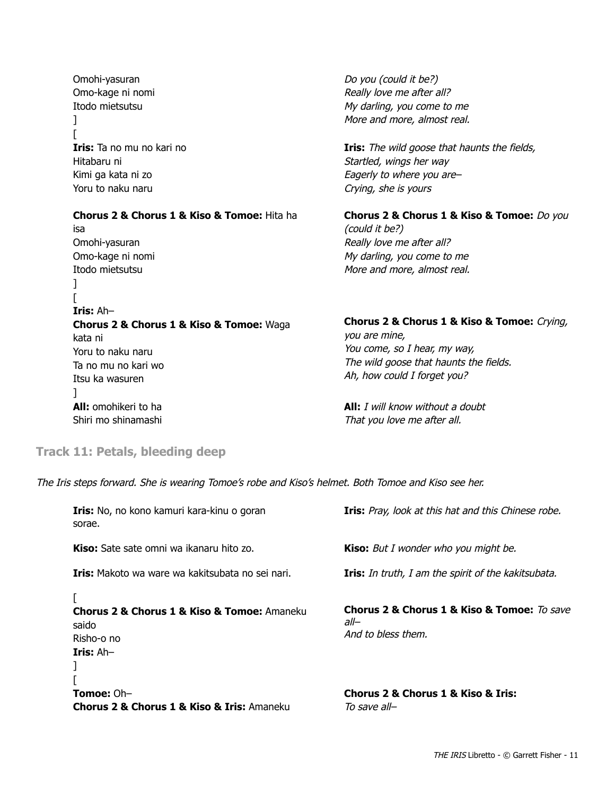Omohi-yasuran Omo-kage ni nomi Itodo mietsutsu ]  $\lceil$ **Iris:** Ta no mu no kari no Hitabaru ni Kimi ga kata ni zo Yoru to naku naru

**Chorus 2 & Chorus 1 & Kiso & Tomoe:** Hita ha isa Omohi-yasuran Omo-kage ni nomi Itodo mietsutsu ]  $\lceil$ **Iris:** Ah– **Chorus 2 & Chorus 1 & Kiso & Tomoe:** Waga kata ni Yoru to naku naru Ta no mu no kari wo Itsu ka wasuren  $\mathbb{I}$ **All:** omohikeri to ha Shiri mo shinamashi

Do you (could it be?) Really love me after all? My darling, you come to me More and more, almost real.

**Iris:** The wild goose that haunts the fields, Startled, wings her way Eagerly to where you are– Crying, she is yours

**Chorus 2 & Chorus 1 & Kiso & Tomoe:** Do you (could it be?) Really love me after all? My darling, you come to me More and more, almost real.

**Chorus 2 & Chorus 1 & Kiso & Tomoe:** Crying, you are mine, You come, so I hear, my way, The wild goose that haunts the fields. Ah, how could I forget you?

**All:** *I will know without a doubt* That you love me after all.

#### **Track 11: Petals, bleeding deep**

The Iris steps forward. She is wearing Tomoe's robe and Kiso's helmet. Both Tomoe and Kiso see her.

| <b>Iris:</b> No, no kono kamuri kara-kinu o goran<br>sorae.                                               | <b>Iris:</b> Pray, look at this hat and this Chinese robe.                                   |
|-----------------------------------------------------------------------------------------------------------|----------------------------------------------------------------------------------------------|
| <b>Kiso:</b> Sate sate omni wa ikanaru hito zo.                                                           | Kiso: But I wonder who you might be.                                                         |
| Iris: Makoto wa ware wa kakitsubata no sei nari.                                                          | <b>Iris:</b> In truth, I am the spirit of the kakitsubata.                                   |
| <b>Chorus 2 &amp; Chorus 1 &amp; Kiso &amp; Tomoe: Amaneku</b><br>saido<br>Risho-o no<br><b>Iris: Ah-</b> | <b>Chorus 2 &amp; Chorus 1 &amp; Kiso &amp; Tomoe:</b> To save<br>all-<br>And to bless them. |
| Tomoe: Oh-<br><b>Chorus 2 &amp; Chorus 1 &amp; Kiso &amp; Iris: Amaneku</b>                               | Chorus 2 & Chorus 1 & Kiso & Iris:<br>To save all-                                           |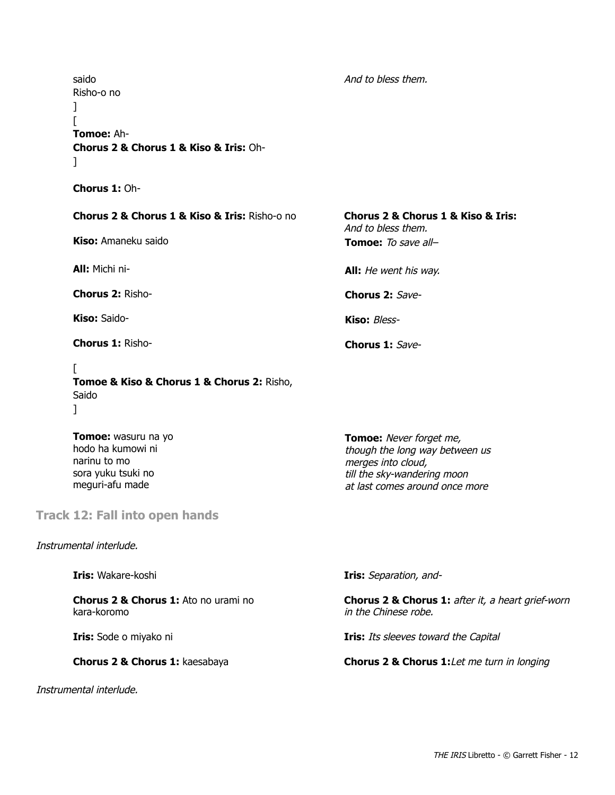saido Risho-o no ]  $\lceil$ **Tomoe:** Ah-**Chorus 2 & Chorus 1 & Kiso & Iris:** Oh ]

**Chorus 1: Oh-**

#### **Chorus 2 & Chorus 1 & Kiso & Iris:** Rishoo no **Chorus 2 & Chorus 1 & Kiso & Iris:**

**Kiso:** Amaneku saido **Tomoe:** To save all–

**Chorus 2:** Risho-<br> **Chorus 2:** Save-

**Kiso:** Saido-<br> **Kiso:** Bless-

**Chorus 1:** Risho-<br> **Chorus 1:** Save-

#### $\Gamma$

**Tomoe & Kiso & Chorus 1 & Chorus 2:** Risho, Saido  $\mathbf{I}$ 

**Tomoe: wasuru na yo** hodo ha kumowi ni narinu to mo sora yuku tsuki no meguri-afu made

### **Track 12: Fall into open hands**

Instrumental interlude.

**Chorus 2 & Chorus 1:** Ato no urami no kara-koromo

Instrumental interlude.

And to bless them.

And to bless them.

**All:** Michi ni-<br>**All:** He went his way.

**Tomoe:** Never forget me, though the long way between us merges into cloud, till the sky-wandering moon at last comes around once more

**Iris:** Wakare-koshi **Iris:** Separation, and-

**Chorus 2 & Chorus 1:** after it, a heart grief-worn in the Chinese robe.

**Iris:** Sode o miyako ni **Iris:** Its sleeves toward the Capital

**Chorus 2 & Chorus 1:** kaesabaya **Chorus 2 & Chorus 1:** Let me turn in longing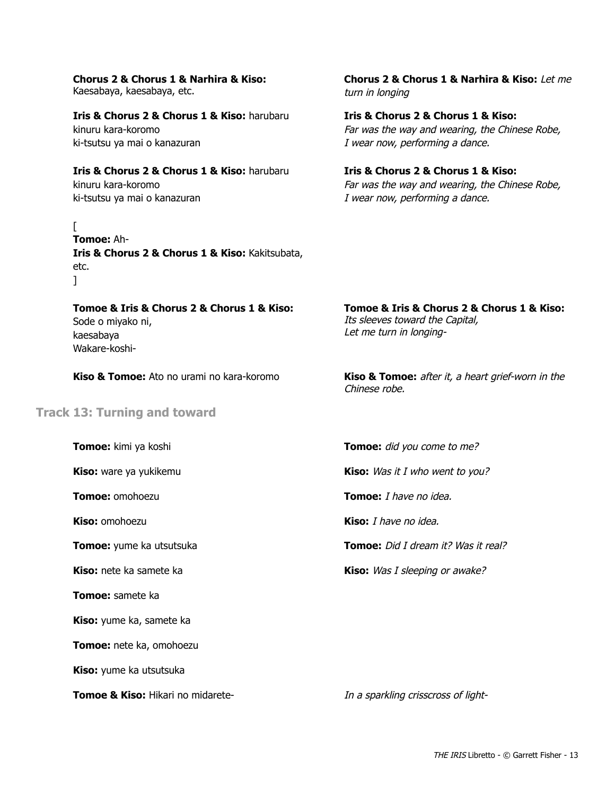#### **Chorus 2 & Chorus 1 & Narhira & Kiso:**

Kaesabaya, kaesabaya, etc.

#### **Iris & Chorus 2 & Chorus 1 & Kiso:** harubaru kinuru kara-koromo ki-tsutsu ya mai o kanazuran

#### **Iris & Chorus 2 & Chorus 1 & Kiso:** harubaru kinuru kara-koromo

ki-tsutsu ya mai o kanazuran

 $\Gamma$ 

#### **Tomoe: Ah-Iris & Chorus 2 & Chorus 1 & Kiso: Kakitsubata,** etc.  $\mathbf{1}$

**Chorus 2 & Chorus 1 & Narhira & Kiso:** Let me turn in longing

**Iris & Chorus 2 & Chorus 1 & Kiso:** Far was the way and wearing, the Chinese Robe, I wear now, performing a dance.

**Iris & Chorus 2 & Chorus 1 & Kiso:** Far was the way and wearing, the Chinese Robe, I wear now, performing a dance.

#### **Tomoe & Iris & Chorus 2 & Chorus 1 & Kiso:** Sode o miyako ni, kaesabaya Wakare-koshi-

**Tomoe & Iris & Chorus 2 & Chorus 1 & Kiso:** Its sleeves toward the Capital, Let me turn in longing-

**Kiso & Tomoe:** Ato no urami no kara-koromo **Kiso & Tomoe:** after it, a heart grief-worn in the

#### **Track 13: Turning and toward**

**Tomoe:** samete ka

**Kiso:** yume ka, samete ka

**Tomoe:** nete ka, omohoezu

**Kiso:** yume ka utsutsuka

**Tomoe & Kiso:** Hikari no midarete-<br>In a sparkling crisscross of light-

**Tomoe:** kimi ya koshi **Tomoe:** did you come to me?

**Kiso:** ware ya yukikemu **Kiso:** Was it I who went to you?

**Tomoe:** omohoezu **Tomoe:** I have no idea.

**Kiso:** omohoezu **Kiso:** I have no idea.

Chinese robe.

**Tomoe:** yume ka utsutsuka **Tomoe:** Did I dream it? Was it real?

**Kiso:** nete ka samete ka **Kiso:** Was I sleeping or awake?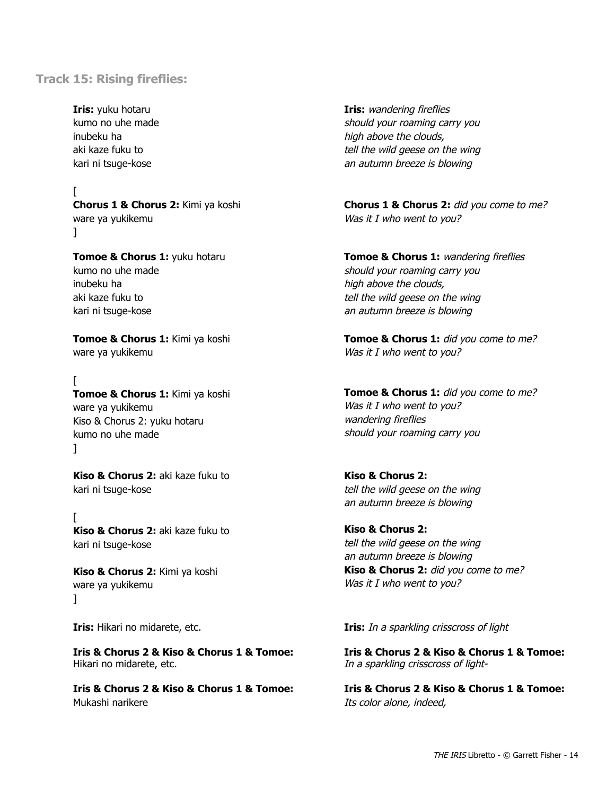#### **Track 15: Rising fireflies:**

**Iris:** yuku hotaru kumo no uhe made inubeku ha aki kaze fuku to kari ni tsuge-kose

 $\lceil$ **Chorus 1 & Chorus 2:** Kimi ya koshi ware ya yukikemu  $\mathbb{I}$ 

**Tomoe & Chorus 1: yuku hotaru** kumo no uhe made inubeku ha aki kaze fuku to kari ni tsuge-kose

**Tomoe & Chorus 1:** Kimi ya koshi ware ya yukikemu

[ **Tomoe & Chorus 1:** Kimi ya koshi ware ya yukikemu Kiso & Chorus 2: yuku hotaru kumo no uhe made ]

**Kiso & Chorus 2:** aki kaze fuku to kari ni tsuge-kose

 $\Gamma$ **Kiso & Chorus 2: aki kaze fuku to** kari ni tsuge-kose

**Kiso & Chorus 2:** Kimi ya koshi ware ya yukikemu ]

**Iris & Chorus 2 & Kiso & Chorus 1 & Tomoe:** Hikari no midarete, etc.

**Iris & Chorus 2 & Kiso & Chorus 1 & Tomoe:** Mukashi narikere

**Iris:** wandering fireflies should your roaming carry you high above the clouds, tell the wild geese on the wing an autumn breeze is blowing

**Chorus 1 & Chorus 2:** did you come to me? Was it I who went to you?

**Tomoe & Chorus 1: wandering fireflies** should your roaming carry you high above the clouds, tell the wild geese on the wing an autumn breeze is blowing

Tomoe & Chorus 1: did you come to me? Was it I who went to you?

Tomoe & Chorus 1: did you come to me? Was it I who went to you? wandering fireflies should your roaming carry you

**Kiso & Chorus 2:** tell the wild geese on the wing an autumn breeze is blowing

**Kiso & Chorus 2:** tell the wild geese on the wing an autumn breeze is blowing Kiso & Chorus 2: did you come to me? Was it I who went to you?

**Iris:** Hikari no midarete, etc. **IFIC 1888 IFIC 1888 Iris:** In a sparkling crisscross of light

**Iris & Chorus 2 & Kiso & Chorus 1 & Tomoe:** In a sparkling crisscross of light-

**Iris & Chorus 2 & Kiso & Chorus 1 & Tomoe:** Its color alone, indeed,